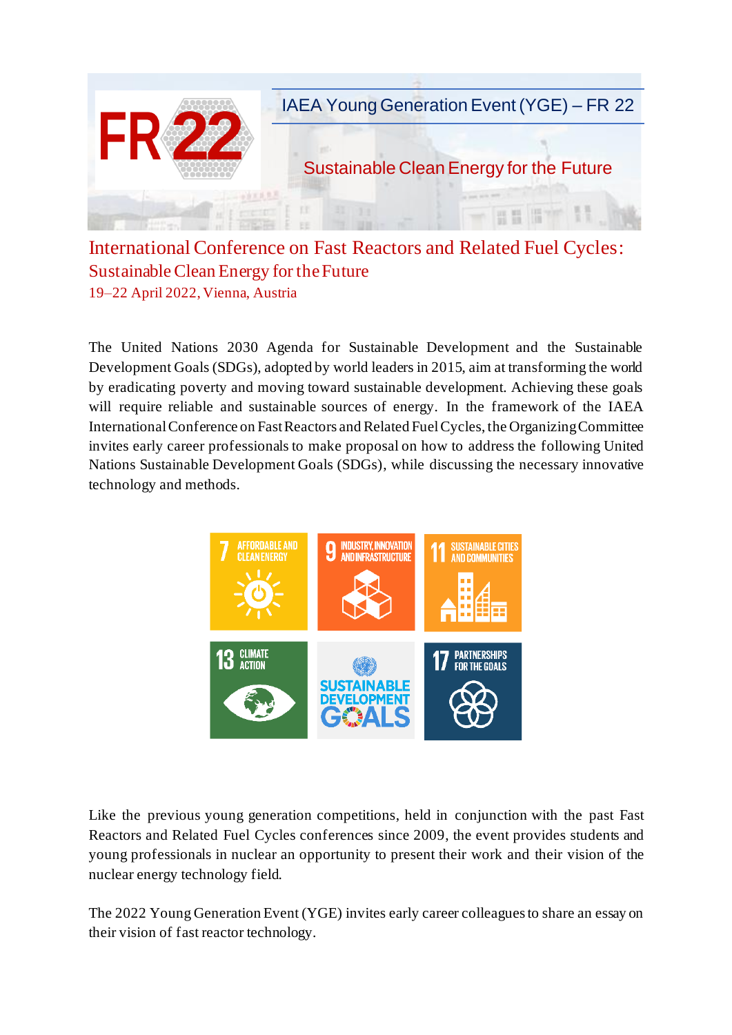

International Conference on Fast Reactors and Related Fuel Cycles: Sustainable Clean Energy for the Future 19–22 April 2022, Vienna, Austria

The United Nations 2030 Agenda for Sustainable Development and the Sustainable Development Goals (SDGs), adopted by world leaders in 2015, aim at transforming the world by eradicating poverty and moving toward sustainable development. Achieving these goals will require reliable and sustainable sources of energy. In the framework of the IAEA International Conference on Fast Reactors and Related Fuel Cycles, the Organizing Committee invites early career professionals to make proposal on how to address the following United Nations Sustainable Development Goals (SDGs), while discussing the necessary innovative technology and methods.



Like the previous young generation competitions, held in conjunction with the past Fast Reactors and Related Fuel Cycles conferences since 2009, the event provides students and young professionals in nuclear an opportunity to present their work and their vision of the nuclear energy technology field.

The 2022 Young Generation Event (YGE) invites early career colleagues to share an essay on their vision of fast reactor technology.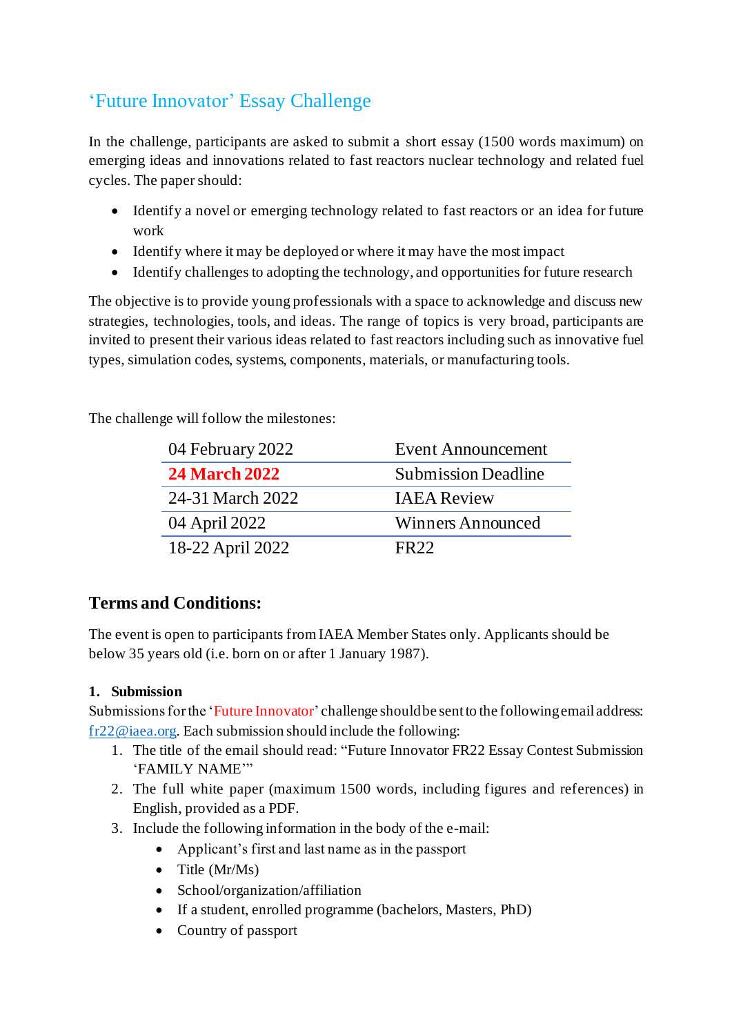# 'Future Innovator' Essay Challenge

In the challenge, participants are asked to submit a short essay (1500 words maximum) on emerging ideas and innovations related to fast reactors nuclear technology and related fuel cycles. The paper should:

- Identify a novel or emerging technology related to fast reactors or an idea for future work
- Identify where it may be deployed or where it may have the most impact
- Identify challenges to adopting the technology, and opportunities for future research

The objective is to provide young professionals with a space to acknowledge and discuss new strategies, technologies, tools, and ideas. The range of topics is very broad, participants are invited to present their various ideas related to fast reactors including such as innovative fuel types, simulation codes, systems, components, materials, or manufacturing tools.

The challenge will follow the milestones:

| 04 February 2022     | Event Announcement         |
|----------------------|----------------------------|
| <b>24 March 2022</b> | <b>Submission Deadline</b> |
| 24-31 March 2022     | <b>IAEA</b> Review         |
| 04 April 2022        | Winners Announced          |
| 18-22 April 2022     | FR <sub>22</sub>           |

## **Terms and Conditions:**

The event is open to participants from IAEA Member States only. Applicants should be below 35 years old (i.e. born on or after 1 January 1987).

### **1. Submission**

Submissions for the 'Future Innovator' challenge should be sent to the following email address: [fr22@iaea.org.](mailto:fr22@iaea.org) Each submission should include the following:

- 1. The title of the email should read: "Future Innovator FR22 Essay Contest Submission 'FAMILY NAME'"
- 2. The full white paper (maximum 1500 words, including figures and references) in English, provided as a PDF.
- 3. Include the following information in the body of the e-mail:
	- Applicant's first and last name as in the passport
	- Title (Mr/Ms)
	- School/organization/affiliation
	- If a student, enrolled programme (bachelors, Masters, PhD)
	- Country of passport